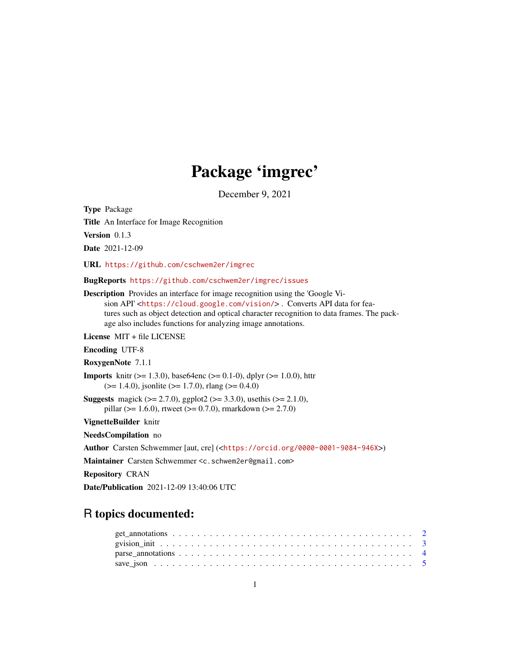## Package 'imgrec'

December 9, 2021

Type Package

Title An Interface for Image Recognition

Version 0.1.3

Date 2021-12-09

URL <https://github.com/cschwem2er/imgrec>

BugReports <https://github.com/cschwem2er/imgrec/issues>

Description Provides an interface for image recognition using the 'Google Vision API' <<https://cloud.google.com/vision/>>. Converts API data for features such as object detection and optical character recognition to data frames. The package also includes functions for analyzing image annotations.

License MIT + file LICENSE

Encoding UTF-8

RoxygenNote 7.1.1

**Imports** knitr ( $> = 1.3.0$ ), base64enc ( $> = 0.1-0$ ), dplyr ( $> = 1.0.0$ ), httr  $(>= 1.4.0)$ , jsonlite  $(>= 1.7.0)$ , rlang  $(>= 0.4.0)$ 

**Suggests** magick ( $>= 2.7.0$ ), ggplot2 ( $>= 3.3.0$ ), usethis ( $>= 2.1.0$ ), pillar ( $> = 1.6.0$ ), rtweet ( $> = 0.7.0$ ), rmarkdown ( $> = 2.7.0$ )

VignetteBuilder knitr

NeedsCompilation no

Author Carsten Schwemmer [aut, cre] (<<https://orcid.org/0000-0001-9084-946X>>)

Maintainer Carsten Schwemmer <c.schwem2er@gmail.com>

Repository CRAN

Date/Publication 2021-12-09 13:40:06 UTC

### R topics documented: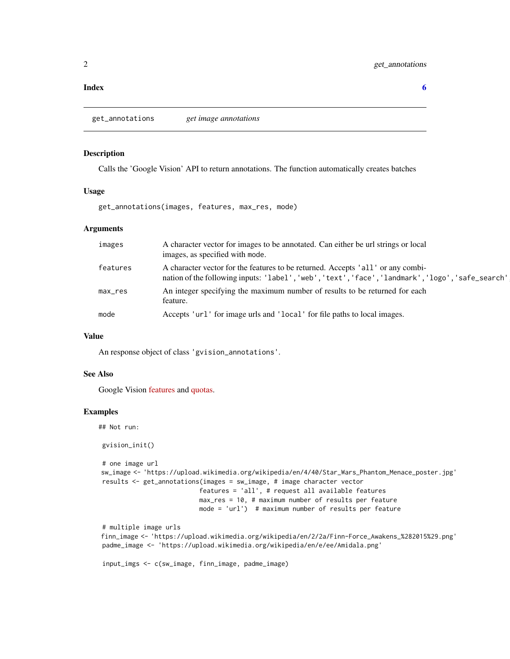#### <span id="page-1-0"></span>**Index** [6](#page-5-0) **6**

<span id="page-1-1"></span>get\_annotations *get image annotations*

#### Description

Calls the 'Google Vision' API to return annotations. The function automatically creates batches

#### Usage

get\_annotations(images, features, max\_res, mode)

#### Arguments

| images   | A character vector for images to be annotated. Can either be url strings or local<br>images, as specified with mode.                                                                 |
|----------|--------------------------------------------------------------------------------------------------------------------------------------------------------------------------------------|
| features | A character vector for the features to be returned. Accepts 'all' or any combi-<br>nation of the following inputs: 'label', 'web', 'text', 'face', 'landmark', 'logo', 'safe_search' |
| max_res  | An integer specifying the maximum number of results to be returned for each<br>feature.                                                                                              |
| mode     | Accepts 'url' for image urls and 'local' for file paths to local images.                                                                                                             |

#### Value

An response object of class 'gvision\_annotations'.

#### See Also

Google Vision [features](https://cloud.google.com/vision/docs/features-list) and [quotas.](https://cloud.google.com/vision/quotas)

#### Examples

## Not run:

```
gvision_init()
# one image url
sw_image <- 'https://upload.wikimedia.org/wikipedia/en/4/40/Star_Wars_Phantom_Menace_poster.jpg'
results <- get_annotations(images = sw_image, # image character vector
                          features = 'all', # request all available features
                          max_res = 10, # maximum number of results per feature
                          mode = 'url') # maximum number of results per feature
# multiple image urls
finn_image <- 'https://upload.wikimedia.org/wikipedia/en/2/2a/Finn-Force_Awakens_%282015%29.png'
padme_image <- 'https://upload.wikimedia.org/wikipedia/en/e/ee/Amidala.png'
input_imgs <- c(sw_image, finn_image, padme_image)
```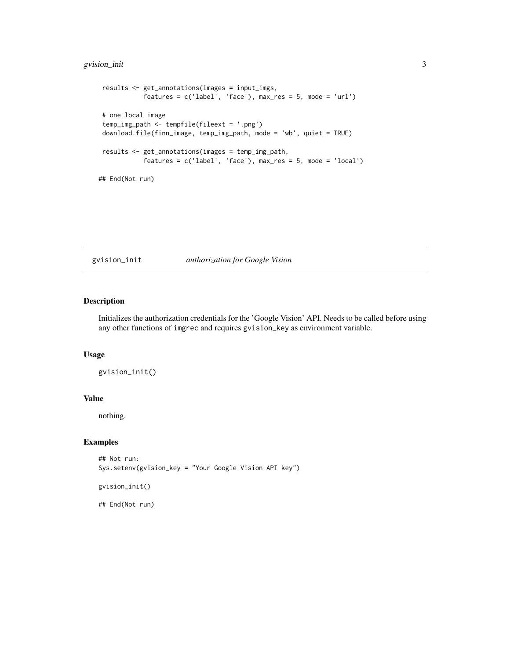#### <span id="page-2-0"></span>gvision\_init 3

```
results <- get_annotations(images = input_imgs,
           features = c('label', 'face'), max-res = 5, mode = 'url')# one local image
temp_img_path <- tempfile(fileext = '.png')
download.file(finn_image, temp_img_path, mode = 'wb', quiet = TRUE)
results <- get_annotations(images = temp_img_path,
           features = c('label', 'face'), max_res = 5, mode = 'local')
## End(Not run)
```
gvision\_init *authorization for Google Vision*

#### Description

Initializes the authorization credentials for the 'Google Vision' API. Needs to be called before using any other functions of imgrec and requires gvision\_key as environment variable.

#### Usage

gvision\_init()

#### Value

nothing.

#### Examples

```
## Not run:
Sys.setenv(gvision_key = "Your Google Vision API key")
```
gvision\_init()

## End(Not run)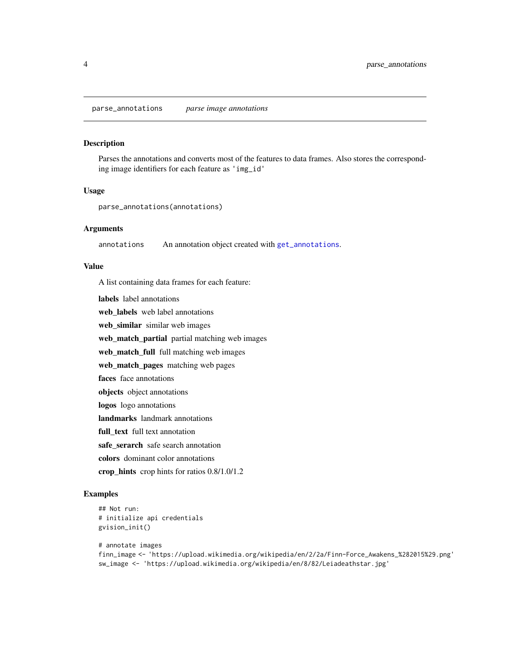#### <span id="page-3-0"></span>Description

Parses the annotations and converts most of the features to data frames. Also stores the corresponding image identifiers for each feature as 'img\_id'

#### Usage

```
parse_annotations(annotations)
```
#### Arguments

annotations An annotation object created with [get\\_annotations](#page-1-1).

#### Value

A list containing data frames for each feature:

labels label annotations web\_labels web label annotations web\_similar similar web images web\_match\_partial partial matching web images web\_match\_full full matching web images web\_match\_pages matching web pages faces face annotations objects object annotations logos logo annotations landmarks landmark annotations full text full text annotation safe\_serarch safe search annotation colors dominant color annotations crop\_hints crop hints for ratios 0.8/1.0/1.2

#### Examples

```
## Not run:
# initialize api credentials
gvision_init()
```

```
# annotate images
finn_image <- 'https://upload.wikimedia.org/wikipedia/en/2/2a/Finn-Force_Awakens_%282015%29.png'
sw_image <- 'https://upload.wikimedia.org/wikipedia/en/8/82/Leiadeathstar.jpg'
```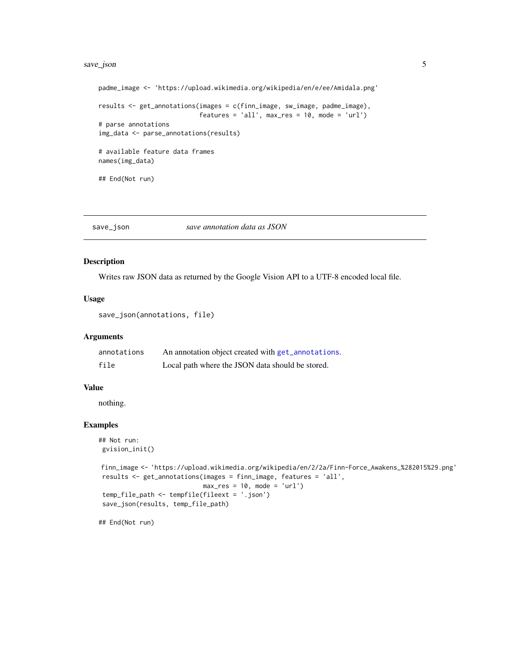#### <span id="page-4-0"></span>save\_json 5

```
padme_image <- 'https://upload.wikimedia.org/wikipedia/en/e/ee/Amidala.png'
results <- get_annotations(images = c(finn_image, sw_image, padme_image),
                           features = 'all', max\_res = 10, mode = 'url')# parse annotations
img_data <- parse_annotations(results)
# available feature data frames
names(img_data)
## End(Not run)
```
save\_json *save annotation data as JSON*

#### Description

Writes raw JSON data as returned by the Google Vision API to a UTF-8 encoded local file.

#### Usage

```
save_json(annotations, file)
```
#### Arguments

| annotations | An annotation object created with get_annotations. |
|-------------|----------------------------------------------------|
| file        | Local path where the JSON data should be stored.   |

#### Value

nothing.

#### Examples

```
## Not run:
gvision_init()
finn_image <- 'https://upload.wikimedia.org/wikipedia/en/2/2a/Finn-Force_Awakens_%282015%29.png'
results <- get_annotations(images = finn_image, features = 'all',
                            max\_res = 10, mode = 'url')
temp_file_path <- tempfile(fileext = '.json')
save_json(results, temp_file_path)
```
## End(Not run)